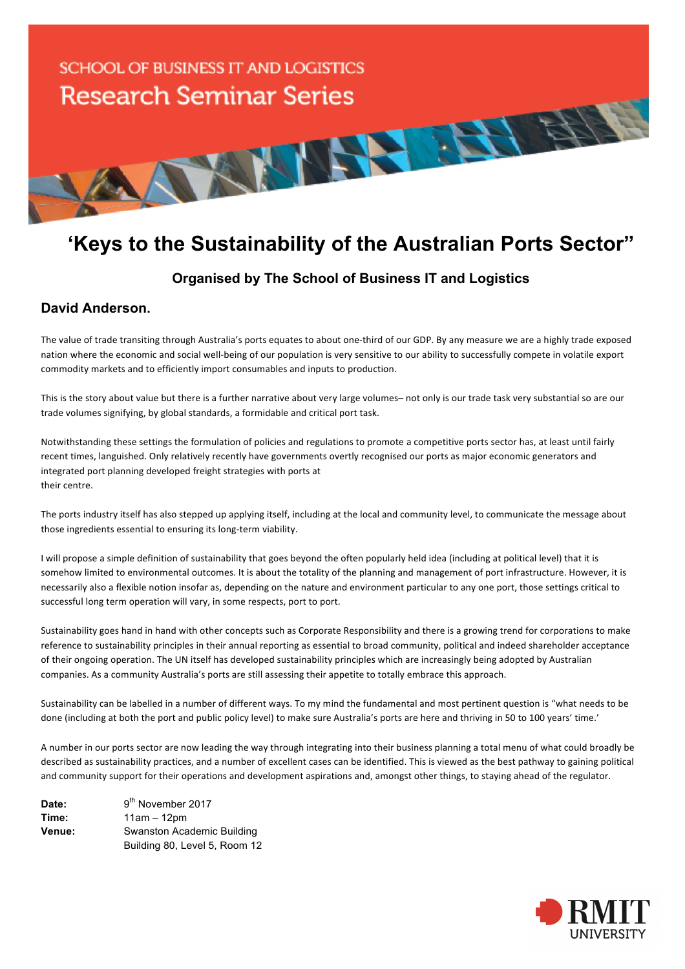

## **'Keys to the Sustainability of the Australian Ports Sector"**

## **Organised by The School of Business IT and Logistics**

## **David Anderson.**

The value of trade transiting through Australia's ports equates to about one-third of our GDP. By any measure we are a highly trade exposed nation where the economic and social well-being of our population is very sensitive to our ability to successfully compete in volatile export commodity markets and to efficiently import consumables and inputs to production.

This is the story about value but there is a further narrative about very large volumes– not only is our trade task very substantial so are our trade volumes signifying, by global standards, a formidable and critical port task.

Notwithstanding these settings the formulation of policies and regulations to promote a competitive ports sector has, at least until fairly recent times, languished. Only relatively recently have governments overtly recognised our ports as major economic generators and integrated port planning developed freight strategies with ports at their centre.

The ports industry itself has also stepped up applying itself, including at the local and community level, to communicate the message about those ingredients essential to ensuring its long-term viability.

I will propose a simple definition of sustainability that goes beyond the often popularly held idea (including at political level) that it is somehow limited to environmental outcomes. It is about the totality of the planning and management of port infrastructure. However, it is necessarily also a flexible notion insofar as, depending on the nature and environment particular to any one port, those settings critical to successful long term operation will vary, in some respects, port to port.

Sustainability goes hand in hand with other concepts such as Corporate Responsibility and there is a growing trend for corporations to make reference to sustainability principles in their annual reporting as essential to broad community, political and indeed shareholder acceptance of their ongoing operation. The UN itself has developed sustainability principles which are increasingly being adopted by Australian companies. As a community Australia's ports are still assessing their appetite to totally embrace this approach.

Sustainability can be labelled in a number of different ways. To my mind the fundamental and most pertinent question is "what needs to be done (including at both the port and public policy level) to make sure Australia's ports are here and thriving in 50 to 100 years' time.'

A number in our ports sector are now leading the way through integrating into their business planning a total menu of what could broadly be described as sustainability practices, and a number of excellent cases can be identified. This is viewed as the best pathway to gaining political and community support for their operations and development aspirations and, amongst other things, to staying ahead of the regulator.

| Date:  | 9 <sup>th</sup> November 2017 |
|--------|-------------------------------|
| Time:  | $11am - 12pm$                 |
| Venue: | Swanston Academic Building    |
|        | Building 80, Level 5, Room 12 |